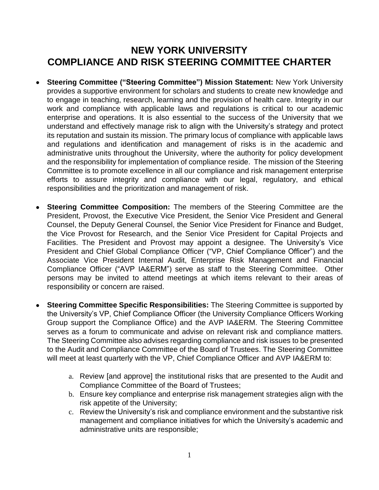## **NEW YORK UNIVERSITY COMPLIANCE AND RISK STEERING COMMITTEE CHARTER**

- **Steering Committee ("Steering Committee") Mission Statement:** New York University provides a supportive environment for scholars and students to create new knowledge and to engage in teaching, research, learning and the provision of health care. Integrity in our work and compliance with applicable laws and regulations is critical to our academic enterprise and operations. It is also essential to the success of the University that we understand and effectively manage risk to align with the University's strategy and protect its reputation and sustain its mission. The primary locus of compliance with applicable laws and regulations and identification and management of risks is in the academic and administrative units throughout the University, where the authority for policy development and the responsibility for implementation of compliance reside. The mission of the Steering Committee is to promote excellence in all our compliance and risk management enterprise efforts to assure integrity and compliance with our legal, regulatory, and ethical responsibilities and the prioritization and management of risk.
- **Steering Committee Composition:** The members of the Steering Committee are the President, Provost, the Executive Vice President, the Senior Vice President and General Counsel, the Deputy General Counsel, the Senior Vice President for Finance and Budget, the Vice Provost for Research, and the Senior Vice President for Capital Projects and Facilities. The President and Provost may appoint a designee. The University's Vice President and Chief Global Compliance Officer ("VP, Chief Compliance Officer") and the Associate Vice President Internal Audit, Enterprise Risk Management and Financial Compliance Officer ("AVP IA&ERM") serve as staff to the Steering Committee. Other persons may be invited to attend meetings at which items relevant to their areas of responsibility or concern are raised.
- **Steering Committee Specific Responsibilities:** The Steering Committee is supported by the University's VP, Chief Compliance Officer (the University Compliance Officers Working Group support the Compliance Office) and the AVP IA&ERM. The Steering Committee serves as a forum to communicate and advise on relevant risk and compliance matters. The Steering Committee also advises regarding compliance and risk issues to be presented to the Audit and Compliance Committee of the Board of Trustees. The Steering Committee will meet at least quarterly with the VP, Chief Compliance Officer and AVP IA&ERM to:
	- a. Review [and approve] the institutional risks that are presented to the Audit and Compliance Committee of the Board of Trustees;
	- b. Ensure key compliance and enterprise risk management strategies align with the risk appetite of the University;
	- c. Review the University's risk and compliance environment and the substantive risk management and compliance initiatives for which the University's academic and administrative units are responsible;